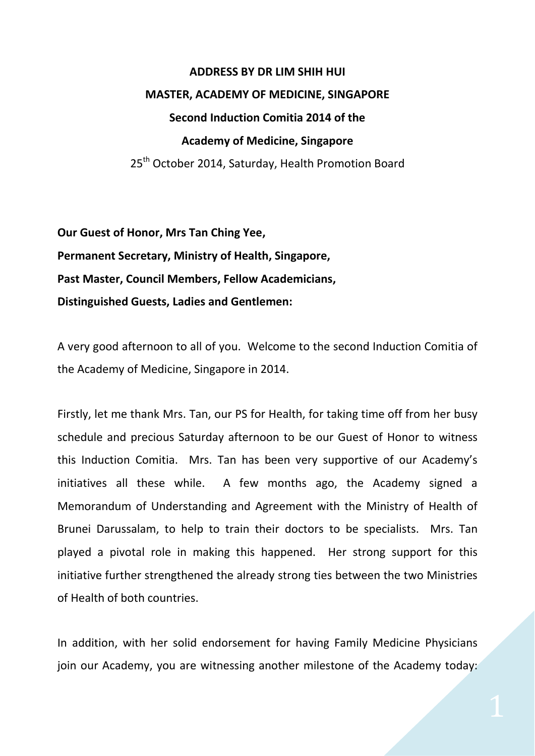## **ADDRESS BY DR LIM SHIH HUI MASTER, ACADEMY OF MEDICINE, SINGAPORE Second Induction Comitia 2014 of the Academy of Medicine, Singapore** 25<sup>th</sup> October 2014, Saturday, Health Promotion Board

**Our Guest of Honor, Mrs Tan Ching Yee, Permanent Secretary, Ministry of Health, Singapore, Past Master, Council Members, Fellow Academicians, Distinguished Guests, Ladies and Gentlemen:**

A very good afternoon to all of you. Welcome to the second Induction Comitia of the Academy of Medicine, Singapore in 2014.

Firstly, let me thank Mrs. Tan, our PS for Health, for taking time off from her busy schedule and precious Saturday afternoon to be our Guest of Honor to witness this Induction Comitia. Mrs. Tan has been very supportive of our Academy's initiatives all these while. A few months ago, the Academy signed a Memorandum of Understanding and Agreement with the Ministry of Health of Brunei Darussalam, to help to train their doctors to be specialists. Mrs. Tan played a pivotal role in making this happened. Her strong support for this initiative further strengthened the already strong ties between the two Ministries of Health of both countries.

In addition, with her solid endorsement for having Family Medicine Physicians join our Academy, you are witnessing another milestone of the Academy today: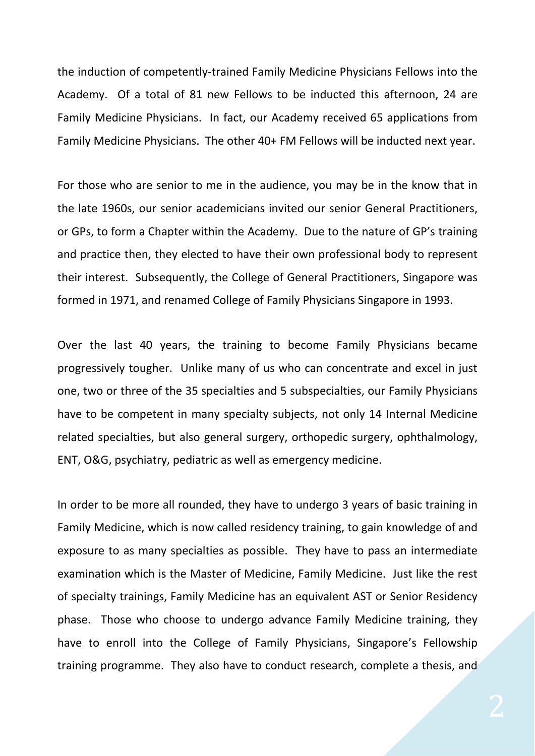the induction of competently-trained Family Medicine Physicians Fellows into the Academy. Of a total of 81 new Fellows to be inducted this afternoon, 24 are Family Medicine Physicians. In fact, our Academy received 65 applications from Family Medicine Physicians. The other 40+ FM Fellows will be inducted next year.

For those who are senior to me in the audience, you may be in the know that in the late 1960s, our senior academicians invited our senior General Practitioners, or GPs, to form a Chapter within the Academy. Due to the nature of GP's training and practice then, they elected to have their own professional body to represent their interest. Subsequently, the College of General Practitioners, Singapore was formed in 1971, and renamed College of Family Physicians Singapore in 1993.

Over the last 40 years, the training to become Family Physicians became progressively tougher. Unlike many of us who can concentrate and excel in just one, two or three of the 35 specialties and 5 subspecialties, our Family Physicians have to be competent in many specialty subjects, not only 14 Internal Medicine related specialties, but also general surgery, orthopedic surgery, ophthalmology, ENT, O&G, psychiatry, pediatric as well as emergency medicine.

In order to be more all rounded, they have to undergo 3 years of basic training in Family Medicine, which is now called residency training, to gain knowledge of and exposure to as many specialties as possible. They have to pass an intermediate examination which is the Master of Medicine, Family Medicine. Just like the rest of specialty trainings, Family Medicine has an equivalent AST or Senior Residency phase. Those who choose to undergo advance Family Medicine training, they have to enroll into the College of Family Physicians, Singapore's Fellowship training programme. They also have to conduct research, complete a thesis, and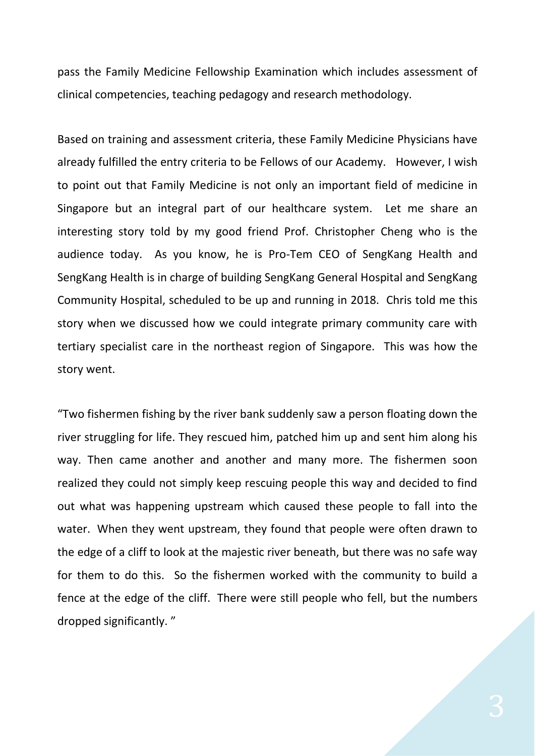pass the Family Medicine Fellowship Examination which includes assessment of clinical competencies, teaching pedagogy and research methodology.

Based on training and assessment criteria, these Family Medicine Physicians have already fulfilled the entry criteria to be Fellows of our Academy. However, I wish to point out that Family Medicine is not only an important field of medicine in Singapore but an integral part of our healthcare system. Let me share an interesting story told by my good friend Prof. Christopher Cheng who is the audience today. As you know, he is Pro-Tem CEO of SengKang Health and SengKang Health is in charge of building SengKang General Hospital and SengKang Community Hospital, scheduled to be up and running in 2018. Chris told me this story when we discussed how we could integrate primary community care with tertiary specialist care in the northeast region of Singapore. This was how the story went.

"Two fishermen fishing by the river bank suddenly saw a person floating down the river struggling for life. They rescued him, patched him up and sent him along his way. Then came another and another and many more. The fishermen soon realized they could not simply keep rescuing people this way and decided to find out what was happening upstream which caused these people to fall into the water. When they went upstream, they found that people were often drawn to the edge of a cliff to look at the majestic river beneath, but there was no safe way for them to do this. So the fishermen worked with the community to build a fence at the edge of the cliff. There were still people who fell, but the numbers dropped significantly. "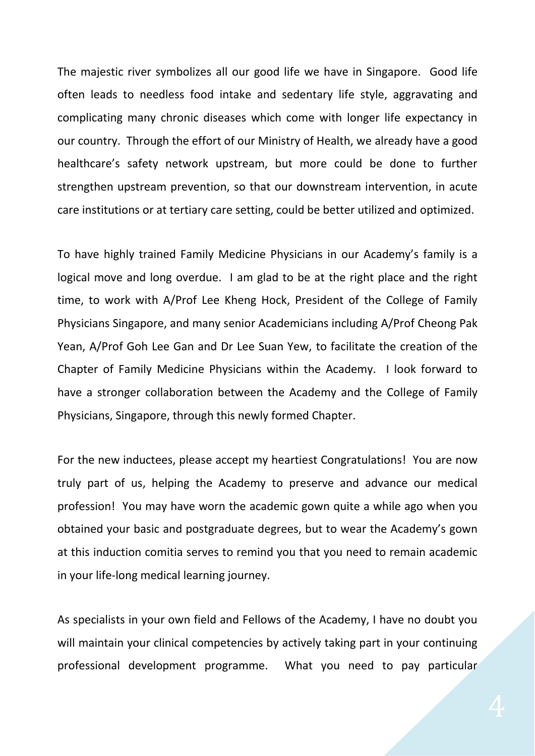The majestic river symbolizes all our good life we have in Singapore. Good life often leads to needless food intake and sedentary life style, aggravating and complicating many chronic diseases which come with longer life expectancy in our country. Through the effort of our Ministry of Health, we already have a good healthcare's safety network upstream, but more could be done to further strengthen upstream prevention, so that our downstream intervention, in acute care institutions or at tertiary care setting, could be better utilized and optimized.

To have highly trained Family Medicine Physicians in our Academy's family is a logical move and long overdue. I am glad to be at the right place and the right time, to work with A/Prof Lee Kheng Hock, President of the College of Family Physicians Singapore, and many senior Academicians including A/Prof Cheong Pak Yean, A/Prof Goh Lee Gan and Dr Lee Suan Yew, to facilitate the creation of the Chapter of Family Medicine Physicians within the Academy. I look forward to have a stronger collaboration between the Academy and the College of Family Physicians, Singapore, through this newly formed Chapter.

For the new inductees, please accept my heartiest Congratulations! You are now truly part of us, helping the Academy to preserve and advance our medical profession! You may have worn the academic gown quite a while ago when you obtained your basic and postgraduate degrees, but to wear the Academy's gown at this induction comitia serves to remind you that you need to remain academic in your life-long medical learning journey.

As specialists in your own field and Fellows of the Academy, I have no doubt you will maintain your clinical competencies by actively taking part in your continuing professional development programme. What you need to pay particular